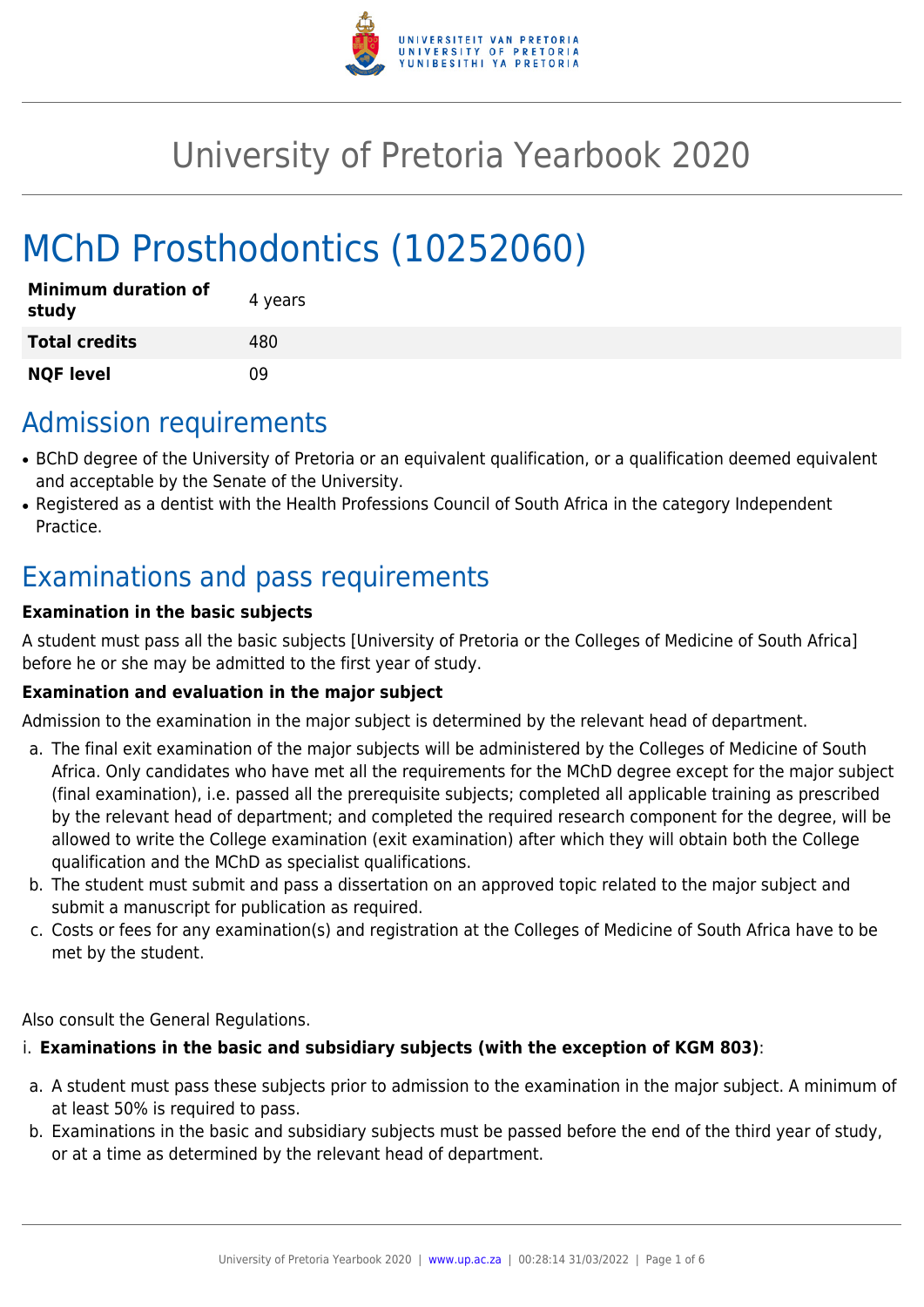

# University of Pretoria Yearbook 2020

# MChD Prosthodontics (10252060)

| <b>Minimum duration of</b><br>study | 4 years |
|-------------------------------------|---------|
| <b>Total credits</b>                | 480     |
| <b>NQF level</b>                    | n۹      |

## Admission requirements

- BChD degree of the University of Pretoria or an equivalent qualification, or a qualification deemed equivalent and acceptable by the Senate of the University.
- Registered as a dentist with the Health Professions Council of South Africa in the category Independent Practice.

# Examinations and pass requirements

#### **Examination in the basic subjects**

A student must pass all the basic subjects [University of Pretoria or the Colleges of Medicine of South Africa] before he or she may be admitted to the first year of study.

#### **Examination and evaluation in the major subject**

Admission to the examination in the major subject is determined by the relevant head of department.

- a. The final exit examination of the major subjects will be administered by the Colleges of Medicine of South Africa. Only candidates who have met all the requirements for the MChD degree except for the major subject (final examination), i.e. passed all the prerequisite subjects; completed all applicable training as prescribed by the relevant head of department; and completed the required research component for the degree, will be allowed to write the College examination (exit examination) after which they will obtain both the College qualification and the MChD as specialist qualifications.
- b. The student must submit and pass a dissertation on an approved topic related to the major subject and submit a manuscript for publication as required.
- c. Costs or fees for any examination(s) and registration at the Colleges of Medicine of South Africa have to be met by the student.

Also consult the General Regulations.

#### i. **Examinations in the basic and subsidiary subjects (with the exception of KGM 803)**:

- a. A student must pass these subjects prior to admission to the examination in the major subject. A minimum of at least 50% is required to pass.
- b. Examinations in the basic and subsidiary subjects must be passed before the end of the third year of study, or at a time as determined by the relevant head of department.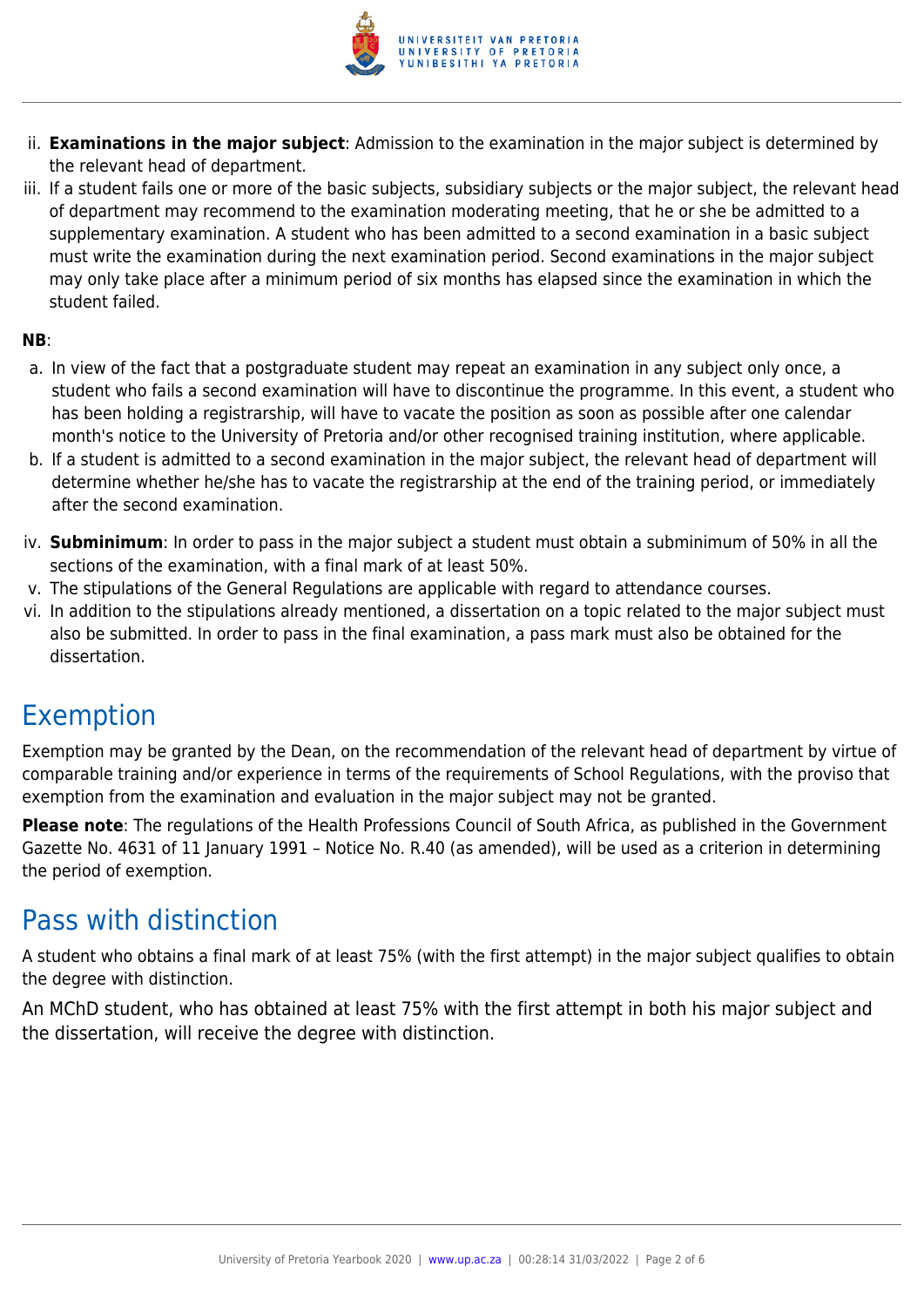

- ii. **Examinations in the major subject**: Admission to the examination in the major subject is determined by the relevant head of department.
- iii. If a student fails one or more of the basic subjects, subsidiary subjects or the major subject, the relevant head of department may recommend to the examination moderating meeting, that he or she be admitted to a supplementary examination. A student who has been admitted to a second examination in a basic subject must write the examination during the next examination period. Second examinations in the major subject may only take place after a minimum period of six months has elapsed since the examination in which the student failed.

#### **NB**:

- a. In view of the fact that a postgraduate student may repeat an examination in any subject only once, a student who fails a second examination will have to discontinue the programme. In this event, a student who has been holding a registrarship, will have to vacate the position as soon as possible after one calendar month's notice to the University of Pretoria and/or other recognised training institution, where applicable.
- b. If a student is admitted to a second examination in the major subject, the relevant head of department will determine whether he/she has to vacate the registrarship at the end of the training period, or immediately after the second examination.
- iv. **Subminimum**: In order to pass in the major subject a student must obtain a subminimum of 50% in all the sections of the examination, with a final mark of at least 50%.
- v. The stipulations of the General Regulations are applicable with regard to attendance courses.
- vi. In addition to the stipulations already mentioned, a dissertation on a topic related to the major subject must also be submitted. In order to pass in the final examination, a pass mark must also be obtained for the dissertation.

### Exemption

Exemption may be granted by the Dean, on the recommendation of the relevant head of department by virtue of comparable training and/or experience in terms of the requirements of School Regulations, with the proviso that exemption from the examination and evaluation in the major subject may not be granted.

**Please note**: The regulations of the Health Professions Council of South Africa, as published in the Government Gazette No. 4631 of 11 January 1991 – Notice No. R.40 (as amended), will be used as a criterion in determining the period of exemption.

### Pass with distinction

A student who obtains a final mark of at least 75% (with the first attempt) in the major subject qualifies to obtain the degree with distinction.

An MChD student, who has obtained at least 75% with the first attempt in both his major subject and the dissertation, will receive the degree with distinction.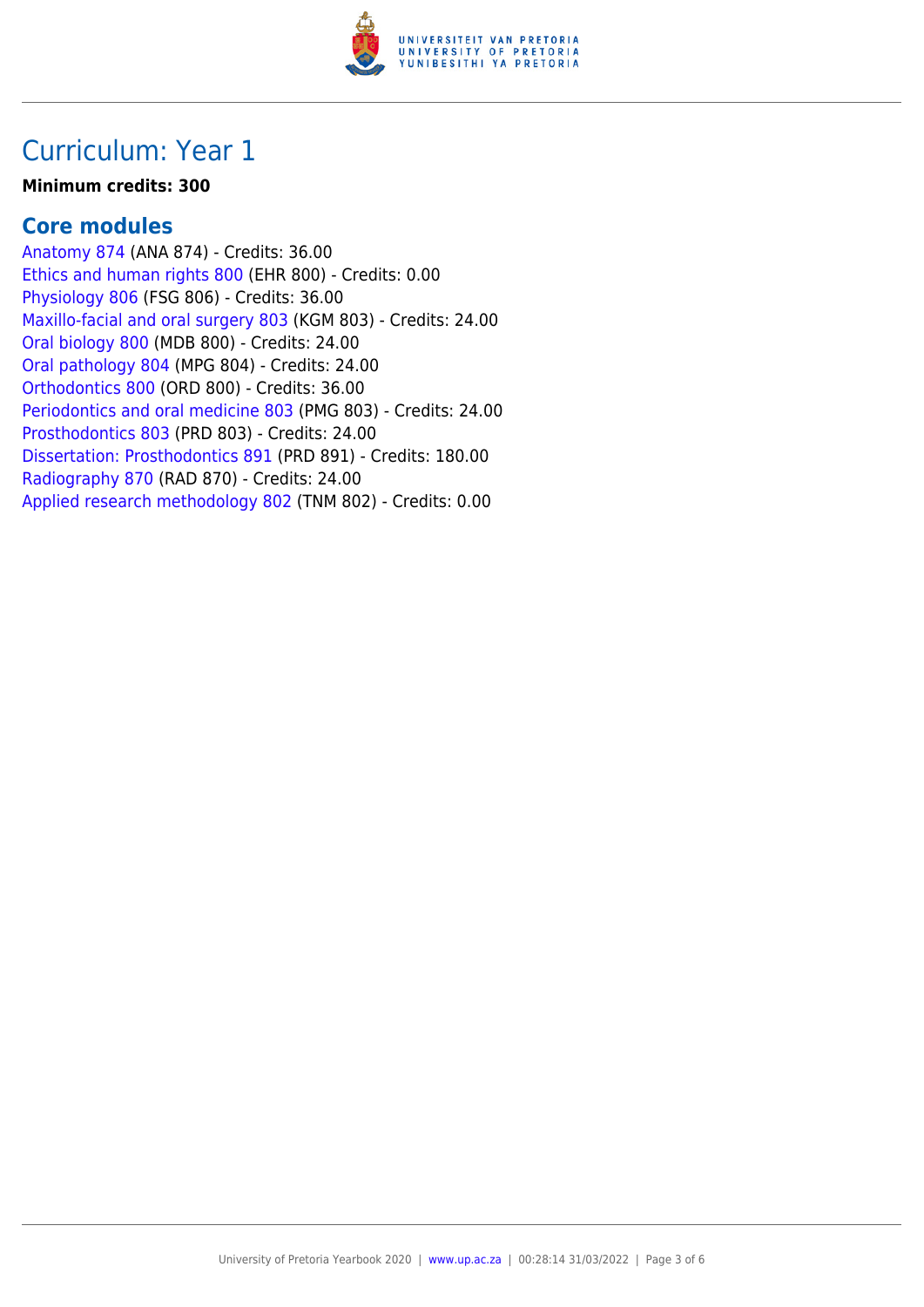

## Curriculum: Year 1

#### **Minimum credits: 300**

### **Core modules**

[Anatomy 874](https://www.up.ac.za/yearbooks/2020/modules/view/ANA 874) (ANA 874) - Credits: 36.00 [Ethics and human rights 800](https://www.up.ac.za/yearbooks/2020/modules/view/EHR 800) (EHR 800) - Credits: 0.00 [Physiology 806](https://www.up.ac.za/yearbooks/2020/modules/view/FSG 806) (FSG 806) - Credits: 36.00 [Maxillo-facial and oral surgery 803](https://www.up.ac.za/yearbooks/2020/modules/view/KGM 803) (KGM 803) - Credits: 24.00 [Oral biology 800](https://www.up.ac.za/yearbooks/2020/modules/view/MDB 800) (MDB 800) - Credits: 24.00 [Oral pathology 804](https://www.up.ac.za/yearbooks/2020/modules/view/MPG 804) (MPG 804) - Credits: 24.00 [Orthodontics 800](https://www.up.ac.za/yearbooks/2020/modules/view/ORD 800) (ORD 800) - Credits: 36.00 [Periodontics and oral medicine 803](https://www.up.ac.za/yearbooks/2020/modules/view/PMG 803) (PMG 803) - Credits: 24.00 [Prosthodontics 803](https://www.up.ac.za/yearbooks/2020/modules/view/PRD 803) (PRD 803) - Credits: 24.00 [Dissertation: Prosthodontics 891](https://www.up.ac.za/yearbooks/2020/modules/view/PRD 891) (PRD 891) - Credits: 180.00 [Radiography 870](https://www.up.ac.za/yearbooks/2020/modules/view/RAD 870) (RAD 870) - Credits: 24.00 [Applied research methodology 802](https://www.up.ac.za/yearbooks/2020/modules/view/TNM 802) (TNM 802) - Credits: 0.00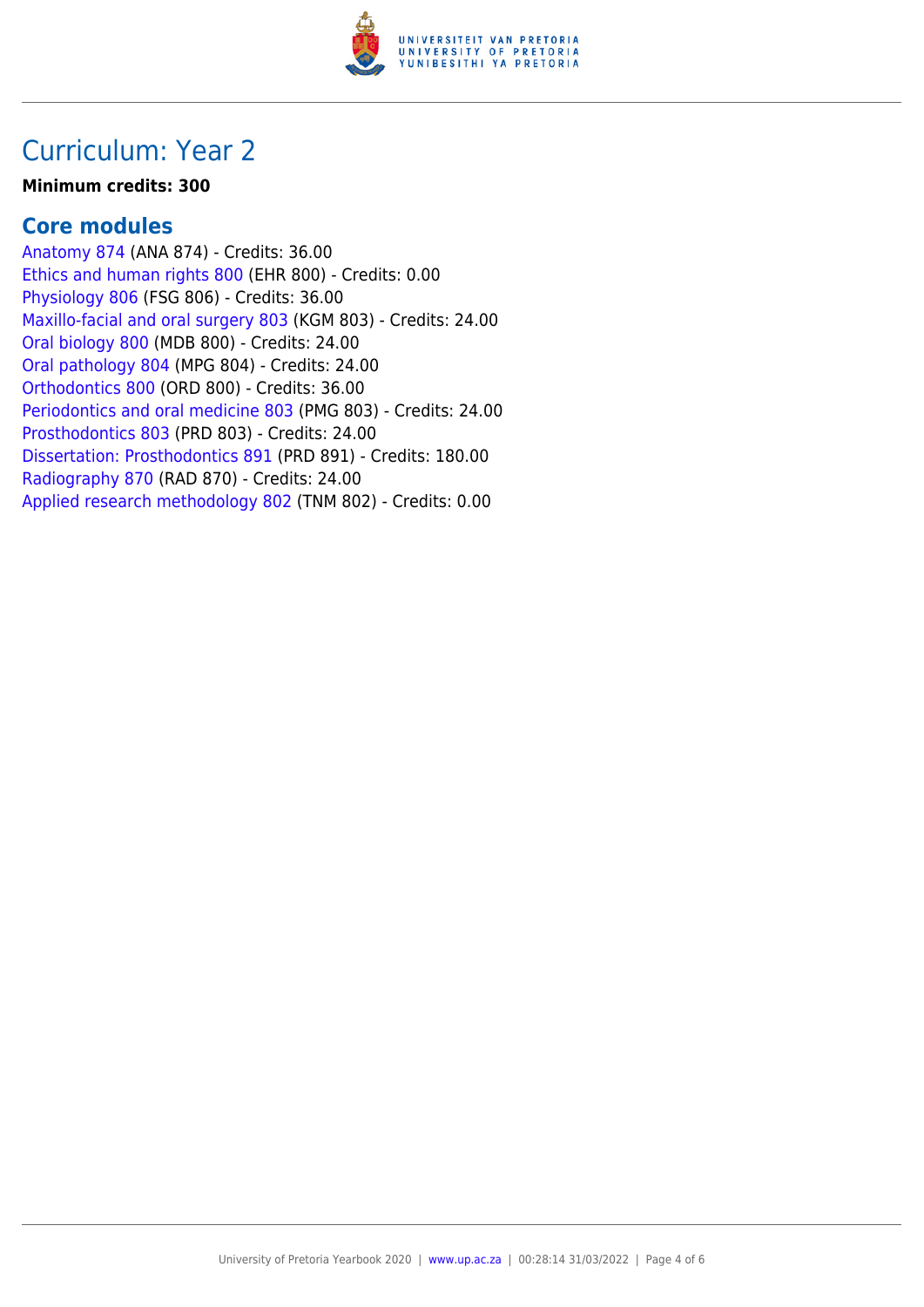

## Curriculum: Year 2

#### **Minimum credits: 300**

### **Core modules**

[Anatomy 874](https://www.up.ac.za/yearbooks/2020/modules/view/ANA 874) (ANA 874) - Credits: 36.00 [Ethics and human rights 800](https://www.up.ac.za/yearbooks/2020/modules/view/EHR 800) (EHR 800) - Credits: 0.00 [Physiology 806](https://www.up.ac.za/yearbooks/2020/modules/view/FSG 806) (FSG 806) - Credits: 36.00 [Maxillo-facial and oral surgery 803](https://www.up.ac.za/yearbooks/2020/modules/view/KGM 803) (KGM 803) - Credits: 24.00 [Oral biology 800](https://www.up.ac.za/yearbooks/2020/modules/view/MDB 800) (MDB 800) - Credits: 24.00 [Oral pathology 804](https://www.up.ac.za/yearbooks/2020/modules/view/MPG 804) (MPG 804) - Credits: 24.00 [Orthodontics 800](https://www.up.ac.za/yearbooks/2020/modules/view/ORD 800) (ORD 800) - Credits: 36.00 [Periodontics and oral medicine 803](https://www.up.ac.za/yearbooks/2020/modules/view/PMG 803) (PMG 803) - Credits: 24.00 [Prosthodontics 803](https://www.up.ac.za/yearbooks/2020/modules/view/PRD 803) (PRD 803) - Credits: 24.00 [Dissertation: Prosthodontics 891](https://www.up.ac.za/yearbooks/2020/modules/view/PRD 891) (PRD 891) - Credits: 180.00 [Radiography 870](https://www.up.ac.za/yearbooks/2020/modules/view/RAD 870) (RAD 870) - Credits: 24.00 [Applied research methodology 802](https://www.up.ac.za/yearbooks/2020/modules/view/TNM 802) (TNM 802) - Credits: 0.00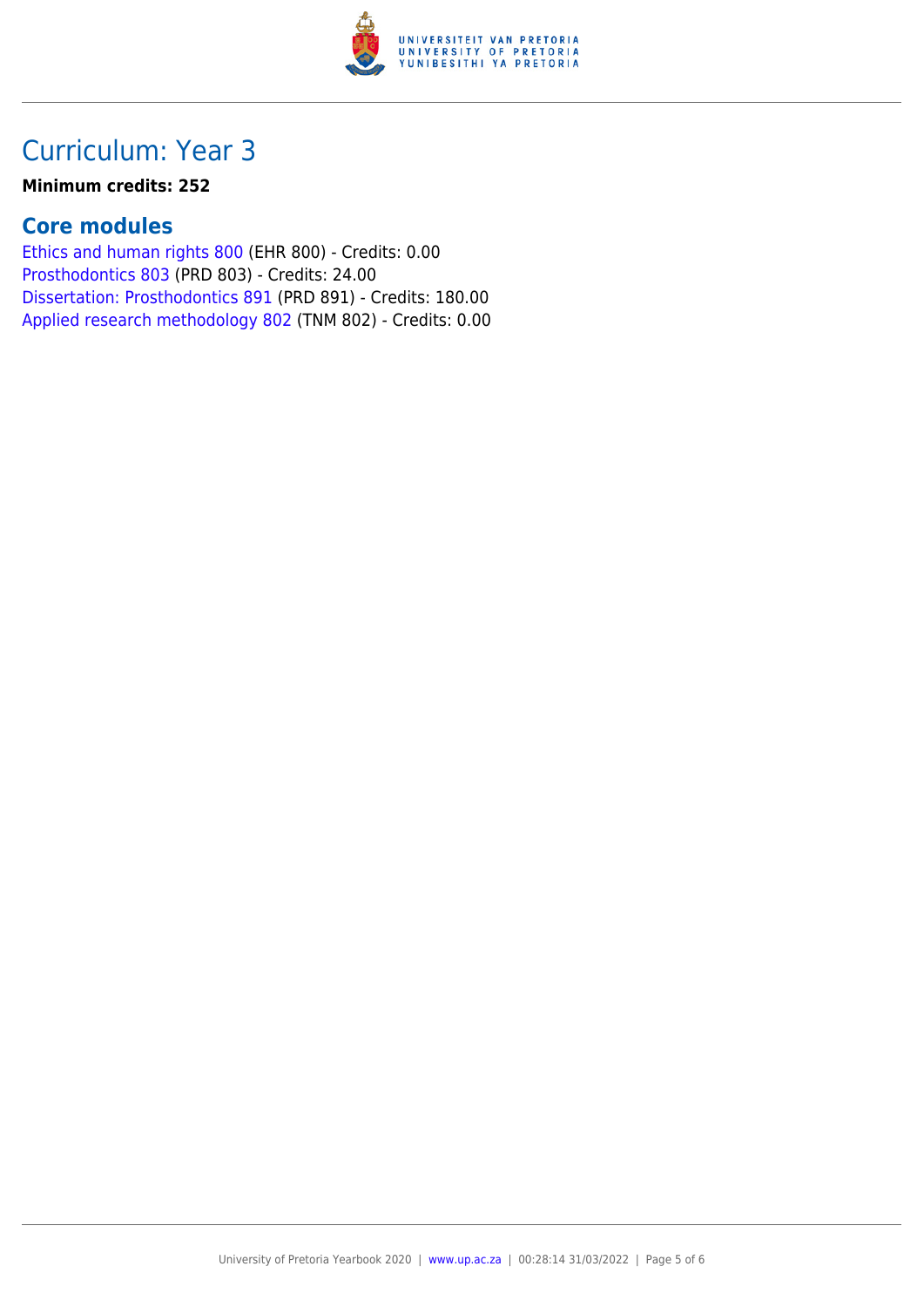

# Curriculum: Year 3

#### **Minimum credits: 252**

### **Core modules**

[Ethics and human rights 800](https://www.up.ac.za/yearbooks/2020/modules/view/EHR 800) (EHR 800) - Credits: 0.00 [Prosthodontics 803](https://www.up.ac.za/yearbooks/2020/modules/view/PRD 803) (PRD 803) - Credits: 24.00 [Dissertation: Prosthodontics 891](https://www.up.ac.za/yearbooks/2020/modules/view/PRD 891) (PRD 891) - Credits: 180.00 [Applied research methodology 802](https://www.up.ac.za/yearbooks/2020/modules/view/TNM 802) (TNM 802) - Credits: 0.00